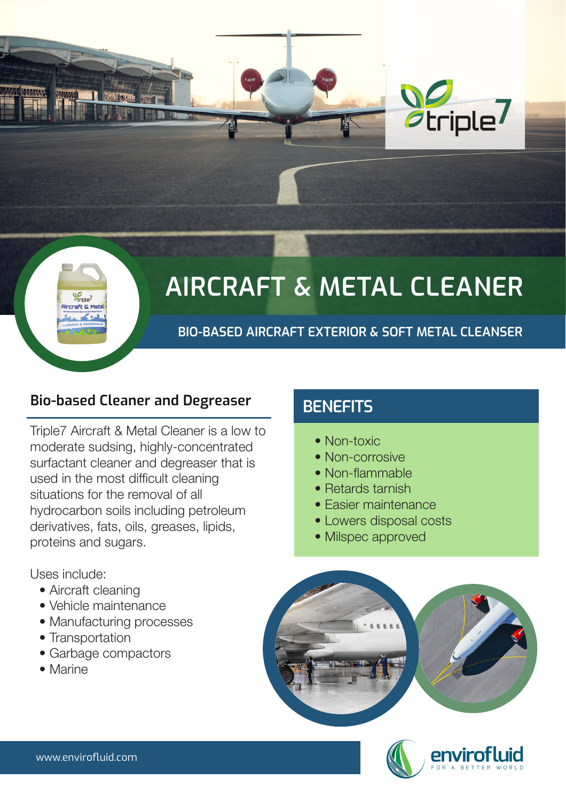

# *Otriple*

# **AIRCRAFT & METAL CLEANER**

**BIO-BASED AIRCRAFT EXTERIOR & SOFT METAL CLEANSER**

**Bio-based Cleaner and Degreaser BENEFITS** 

- Aircraft cleaning
- Vehicle maintenance
- Manufacturing processes
- Transportation
- Garbage compactors
- Marine
- Non-toxic
- Non-corrosive
- Non-flammable
- Retards tarnish
- Easier maintenance
- Lowers disposal costs
- Milspec approved

Triple7 Aircraft & Metal Cleaner is a low to moderate sudsing, highly-concentrated surfactant cleaner and degreaser that is used in the most difficult cleaning situations for the removal of all hydrocarbon soils including petroleum derivatives, fats, oils, greases, lipids, proteins and sugars.





Uses include: